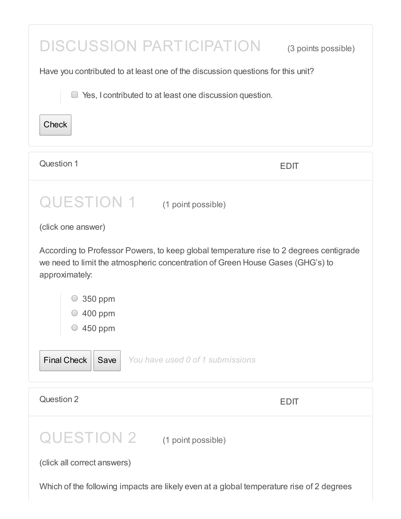| <b>DISCUSSION PARTICIPATION</b>                                                                                                                                                            | (3 points possible) |  |
|--------------------------------------------------------------------------------------------------------------------------------------------------------------------------------------------|---------------------|--|
| Have you contributed to at least one of the discussion questions for this unit?                                                                                                            |                     |  |
| Yes, I contributed to at least one discussion question.                                                                                                                                    |                     |  |
| <b>Check</b>                                                                                                                                                                               |                     |  |
| Question 1                                                                                                                                                                                 | <b>EDIT</b>         |  |
| QUESTION 1 (1 point possible)                                                                                                                                                              |                     |  |
| (click one answer)                                                                                                                                                                         |                     |  |
| According to Professor Powers, to keep global temperature rise to 2 degrees centigrade<br>we need to limit the atmospheric concentration of Green House Gases (GHG's) to<br>approximately: |                     |  |
| 350 ppm                                                                                                                                                                                    |                     |  |
| 400 ppm<br>450 ppm                                                                                                                                                                         |                     |  |
| <b>Final Check</b><br>You have used 0 of 1 submissions<br>Save                                                                                                                             |                     |  |
| Question 2                                                                                                                                                                                 | <b>EDIT</b>         |  |
| QUESTION 2 (1 point possible)                                                                                                                                                              |                     |  |
| (click all correct answers)                                                                                                                                                                |                     |  |
| Which of the following impacts are likely even at a global temperature rise of 2 degrees                                                                                                   |                     |  |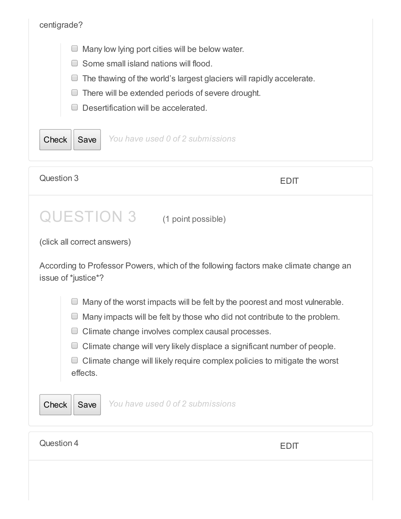| centigrade?                                                                                                                                                                                                                                                                                                                                                                                                        |             |
|--------------------------------------------------------------------------------------------------------------------------------------------------------------------------------------------------------------------------------------------------------------------------------------------------------------------------------------------------------------------------------------------------------------------|-------------|
| Many low lying port cities will be below water.<br>Some small island nations will flood.<br>The thawing of the world's largest glaciers will rapidly accelerate.<br>There will be extended periods of severe drought.<br>Desertification will be accelerated.<br>You have used 0 of 2 submissions<br><b>Check</b><br>Save                                                                                          |             |
| Question 3                                                                                                                                                                                                                                                                                                                                                                                                         | <b>EDIT</b> |
| <b>QUESTION 3</b><br>(1 point possible)<br>(click all correct answers)<br>According to Professor Powers, which of the following factors make climate change an<br>issue of *justice*?                                                                                                                                                                                                                              |             |
| Many of the worst impacts will be felt by the poorest and most vulnerable.<br>Many impacts will be felt by those who did not contribute to the problem.<br>Climate change involves complex causal processes.<br>$\overline{\phantom{0}}$<br>Climate change will very likely displace a significant number of people.<br>L<br>Climate change will likely require complex policies to mitigate the worst<br>effects. |             |
| You have used 0 of 2 submissions<br><b>Check</b><br>Save                                                                                                                                                                                                                                                                                                                                                           |             |
| Question 4                                                                                                                                                                                                                                                                                                                                                                                                         | <b>EDIT</b> |
|                                                                                                                                                                                                                                                                                                                                                                                                                    |             |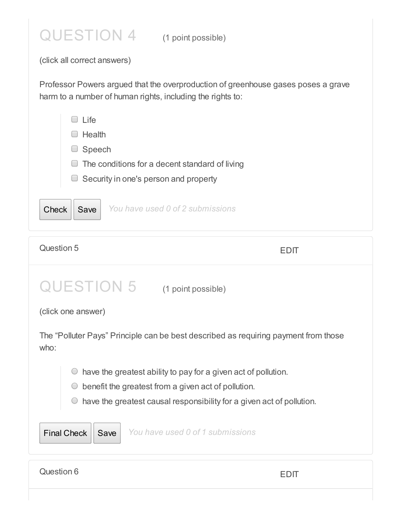

(click all correct answers)

Professor Powers argued that the overproduction of greenhouse gases poses a grave harm to a number of human rights, including the rights to:

| l ife                                             |  |
|---------------------------------------------------|--|
| Health                                            |  |
| Speech                                            |  |
| The conditions for a decent standard of living    |  |
| $\Box$ Security in one's person and property      |  |
|                                                   |  |
| You have used 0 of 2 submissions<br>Save<br>Check |  |

| Question 5                                                                                                                                                                                                   | EDIL                                                                                |  |
|--------------------------------------------------------------------------------------------------------------------------------------------------------------------------------------------------------------|-------------------------------------------------------------------------------------|--|
| <b>QUESTION 5</b>                                                                                                                                                                                            | (1 point possible)                                                                  |  |
| (click one answer)                                                                                                                                                                                           |                                                                                     |  |
| who:                                                                                                                                                                                                         | The "Polluter Pays" Principle can be best described as requiring payment from those |  |
| have the greatest ability to pay for a given act of pollution.<br>benefit the greatest from a given act of pollution.<br>$\bigcirc$<br>have the greatest causal responsibility for a given act of pollution. |                                                                                     |  |
| <b>Final Check</b><br>Save                                                                                                                                                                                   | You have used 0 of 1 submissions                                                    |  |
| Question 6                                                                                                                                                                                                   | EDII                                                                                |  |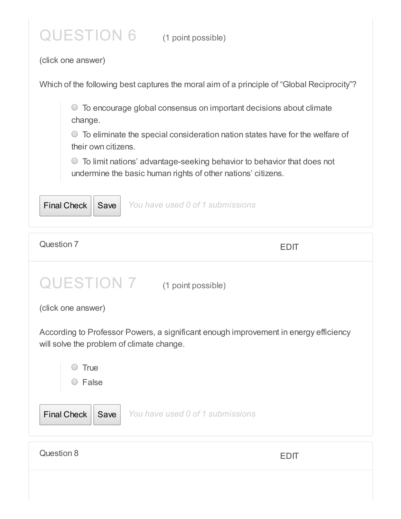## QUESTION 6 (1 point possible)

(click one answer)

Which of the following best captures the moral aim of a principle of "Global Reciprocity"?

To encourage global consensus on important decisions about climate change.

 $\circ$  To eliminate the special consideration nation states have for the welfare of their own citizens.

To limit nations' advantage-seeking behavior to behavior that does not undermine the basic human rights of other nations' citizens.



| Question 7                                                                                                                                       | <b>EDIT</b>                      |
|--------------------------------------------------------------------------------------------------------------------------------------------------|----------------------------------|
| (click one answer)                                                                                                                               | QUESTION 7 (1 point possible)    |
| According to Professor Powers, a significant enough improvement in energy efficiency<br>will solve the problem of climate change.<br><b>True</b> |                                  |
| $\circ$ False<br><b>Final Check</b><br>Save                                                                                                      | You have used 0 of 1 submissions |
| Question 8                                                                                                                                       | <b>EDIT</b>                      |
|                                                                                                                                                  |                                  |